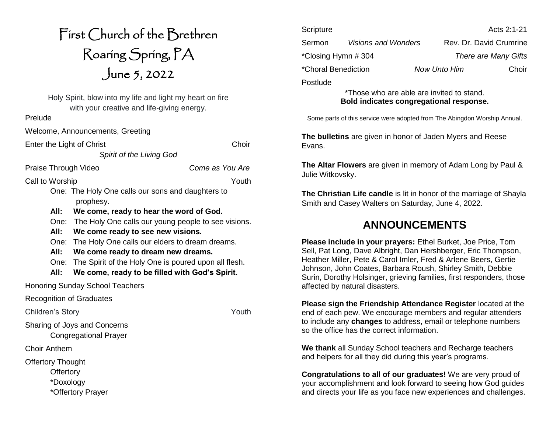# First Church of the Brethren Roaring Spring, PA June 5, 2022

Holy Spirit, blow into my life and light my heart on fire with your creative and life-giving energy.

*Spirit of the Living God*

Prelude

Welcome, Announcements, Greeting

Enter the Light of Christ Choir

Praise Through Video *Come as You Are*

Call to Worship Youth

One: The Holy One calls our sons and daughters to prophesy.

**All: We come, ready to hear the word of God.**

One: The Holy One calls our young people to see visions.

**All: We come ready to see new visions.**

One: The Holy One calls our elders to dream dreams.

**All: We come ready to dream new dreams.**

One: The Spirit of the Holy One is poured upon all flesh.

**All: We come, ready to be filled with God's Spirit.**

Honoring Sunday School Teachers

Recognition of Graduates

Children's Story **Youth** 

Sharing of Joys and Concerns

Congregational Prayer

Choir Anthem

Offertory Thought

**Offertory** 

\*Doxology

\*Offertory Prayer

| Scripture           |                            |                     | Acts 2:1-21                 |
|---------------------|----------------------------|---------------------|-----------------------------|
| Sermon              | <b>Visions and Wonders</b> |                     | Rev. Dr. David Crumrine     |
| *Closing Hymn # 304 |                            |                     | <b>There are Many Gifts</b> |
| *Choral Benediction |                            | <b>Now Unto Him</b> | Choir                       |
| Postlude            |                            |                     |                             |

\*Those who are able are invited to stand. **Bold indicates congregational response.**

Some parts of this service were adopted from The Abingdon Worship Annual.

**The bulletins** are given in honor of Jaden Myers and Reese Evans.

**The Altar Flowers** are given in memory of Adam Long by Paul & Julie Witkovsky.

**The Christian Life candle** is lit in honor of the marriage of Shayla Smith and Casey Walters on Saturday, June 4, 2022.

## **ANNOUNCEMENTS**

**Please include in your prayers:** Ethel Burket, Joe Price, Tom Sell, Pat Long, Dave Albright, Dan Hershberger, Eric Thompson, Heather Miller, Pete & Carol Imler, Fred & Arlene Beers, Gertie Johnson, John Coates, Barbara Roush, Shirley Smith, Debbie Surin, Dorothy Holsinger, grieving families, first responders, those affected by natural disasters.

**Please sign the Friendship Attendance Register** located at the end of each pew. We encourage members and regular attenders to include any **changes** to address, email or telephone numbers so the office has the correct information.

**We thank** all Sunday School teachers and Recharge teachers and helpers for all they did during this year's programs.

**Congratulations to all of our graduates!** We are very proud of your accomplishment and look forward to seeing how God guides and directs your life as you face new experiences and challenges.